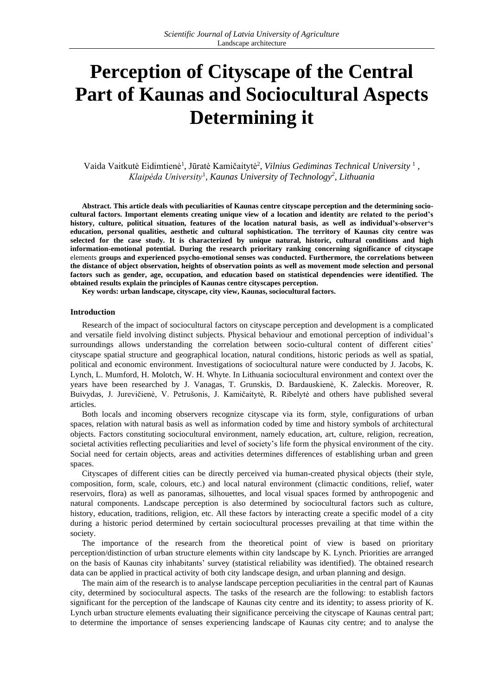# **Perception of Cityscape of the Central Part of Kaunas and Sociocultural Aspects Determining it**

Vaida Vaitkutė Eidimtienė<sup>1</sup>, Jūratė Kamičaitytė<sup>2</sup>, Vilnius Gediminas Technical University<sup>1</sup>, *Klaipėda University*<sup>1</sup> *, Kaunas University of Technology 2 , Lithuania*

**Abstract. This article deals with peculiarities of Kaunas centre cityscape perception and the determining sociocultural factors. Important elements creating unique view of a location and identity are related to the period's history, culture, political situation, features of the location natural basis, as well as individual's-observer's education, personal qualities, aesthetic and cultural sophistication. The territory of Kaunas city centre was selected for the case study. It is characterized by unique natural, historic, cultural conditions and high information-emotional potential. During the research prioritary ranking concerning significance of cityscape** elements **groups and experienced psycho-emotional senses was conducted. Furthermore, the correlations between the distance of object observation, heights of observation points as well as movement mode selection and personal factors such as gender, age, occupation, and education based on statistical dependencies were identified. The obtained results explain the principles of Kaunas centre cityscapes perception.** 

**Key words: urban landscape, cityscape, city view, Kaunas, sociocultural factors.**

#### **Introduction**

Research of the impact of sociocultural factors on cityscape perception and development is a complicated and versatile field involving distinct subjects. Physical behaviour and emotional perception of individual's surroundings allows understanding the correlation between socio-cultural content of different cities' cityscape spatial structure and geographical location, natural conditions, historic periods as well as spatial, political and economic environment. Investigations of sociocultural nature were conducted by J. Jacobs, K. Lynch, L. Mumford, H. Molotch, W. H. Whyte. In Lithuania sociocultural environment and context over the years have been researched by J. Vanagas, T. Grunskis, D. Bardauskienė, K. Zaleckis. Moreover, R. Buivydas, J. Jurevičienė, V. Petrušonis, J. Kamičaitytė, R. Ribelytė and others have published several articles.

Both locals and incoming observers recognize cityscape via its form, style, configurations of urban spaces, relation with natural basis as well as information coded by time and history symbols of architectural objects. Factors constituting sociocultural environment, namely education, art, culture, religion, recreation, societal activities reflecting peculiarities and level of society's life form the physical environment of the city. Social need for certain objects, areas and activities determines differences of establishing urban and green spaces.

Cityscapes of different cities can be directly perceived via human-created physical objects (their style, composition, form, scale, colours, etc.) and local natural environment (climactic conditions, relief, water reservoirs, flora) as well as panoramas, silhouettes, and local visual spaces formed by anthropogenic and natural components. Landscape perception is also determined by sociocultural factors such as culture, history, education, traditions, religion, etc. All these factors by interacting create a specific model of a city during a historic period determined by certain sociocultural processes prevailing at that time within the society.

The importance of the research from the theoretical point of view is based on prioritary perception/distinction of urban structure elements within city landscape by K. Lynch. Priorities are arranged on the basis of Kaunas city inhabitants' survey (statistical reliability was identified). The obtained research data can be applied in practical activity of both city landscape design, and urban planning and design.

The main aim of the research is to analyse landscape perception peculiarities in the central part of Kaunas city, determined by sociocultural aspects. The tasks of the research are the following: to establish factors significant for the perception of the landscape of Kaunas city centre and its identity; to assess priority of K. Lynch urban structure elements evaluating their significance perceiving the cityscape of Kaunas central part; to determine the importance of senses experiencing landscape of Kaunas city centre; and to analyse the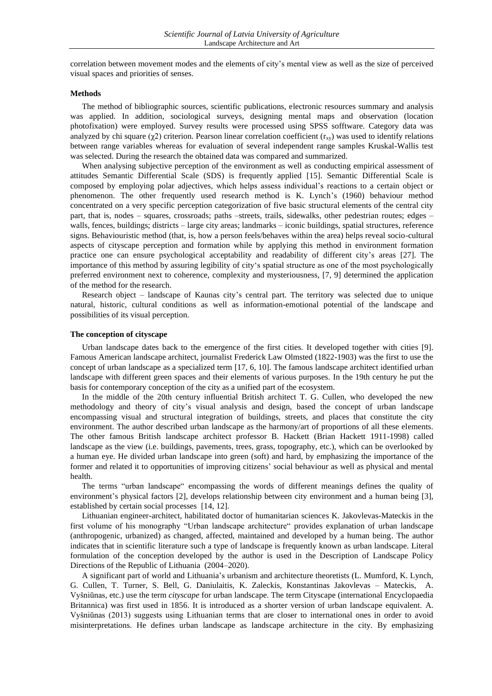correlation between movement modes and the elements of city's mental view as well as the size of perceived visual spaces and priorities of senses.

#### **Methods**

The method of bibliographic sources, scientific publications, electronic resources summary and analysis was applied. In addition, sociological surveys, designing mental maps and observation (location photofixation) were employed. Survey results were processed using SPSS sofftware. Category data was analyzed by chi square ( $\chi$ 2) criterion. Pearson linear correlation coefficient ( $r_{xy}$ ) was used to identify relations between range variables whereas for evaluation of several independent range samples Kruskal-Wallis test was selected. During the research the obtained data was compared and summarized.

When analysing subjective perception of the environment as well as conducting empirical assessment of attitudes Semantic Differential Scale (SDS) is frequently applied [15]. Semantic Differential Scale is composed by employing polar adjectives, which helps assess individual's reactions to a certain object or phenomenon. The other frequently used research method is K. Lynch's (1960) behaviour method concentrated on a very specific perception categorization of five basic structural elements of the central city part, that is, nodes – squares, crossroads; paths –streets, trails, sidewalks, other pedestrian routes; edges – walls, fences, buildings; districts – large city areas; landmarks – iconic buildings, spatial structures, reference signs. Behaviouristic method (that, is, how a person feels/behaves within the area) helps reveal socio-cultural aspects of cityscape perception and formation while by applying this method in environment formation practice one can ensure psychological acceptability and readability of different city's areas [27]. The importance of this method by assuring legibility of city's spatial structure as one of the most psychologically preferred environment next to coherence, complexity and mysteriousness, [7, 9] determined the application of the method for the research.

Research object – landscape of Kaunas city's central part. The territory was selected due to unique natural, historic, cultural conditions as well as information-emotional potential of the landscape and possibilities of its visual perception.

### **The conception of cityscape**

Urban landscape dates back to the emergence of the first cities. It developed together with cities [9]. Famous American landscape architect, journalist Frederick Law Olmsted (1822-1903) was the first to use the concept of urban landscape as a specialized term [17, 6, 10]. The famous landscape architect identified urban landscape with different green spaces and their elements of various purposes. In the 19th century he put the basis for contemporary conception of the city as a unified part of the ecosystem.

In the middle of the 20th century influential British architect T. G. Cullen, who developed the new methodology and theory of city's visual analysis and design, based the concept of urban landscape encompassing visual and structural integration of buildings, streets, and places that constitute the city environment. The author described urban landscape as the harmony/art of proportions of all these elements. The other famous British landscape architect professor B. Hackett (Brian Hackett 1911-1998) called landscape as the view (i.e. buildings, pavements, trees, grass, topography, etc.), which can be overlooked by a human eye. He divided urban landscape into green (soft) and hard, by emphasizing the importance of the former and related it to opportunities of improving citizens' social behaviour as well as physical and mental health.

The terms "urban landscape" encompassing the words of different meanings defines the quality of environment's physical factors [2], develops relationship between city environment and a human being [3], established by certain social processes [14, 12].

Lithuanian engineer-architect, habilitated doctor of humanitarian sciences K. Jakovlevas-Mateckis in the first volume of his monography "Urban landscape architecture" provides explanation of urban landscape (anthropogenic, urbanized) as changed, affected, maintained and developed by a human being. The author indicates that in scientific literature such a type of landscape is frequently known as urban landscape. Literal formulation of the conception developed by the author is used in the Description of Landscape Policy Directions of the Republic of Lithuania (2004–2020).

A significant part of world and Lithuania's urbanism and architecture theoretists (L. Mumford, K. Lynch, G. Cullen, T. Turner, S. Bell, G. Daniulaitis, K. Zaleckis, Konstantinas Jakovlevas – Mateckis, A. Vyšniūnas, etc.) use the term *cityscape* for urban landscape. The term Cityscape (international Encyclopaedia Britannica) was first used in 1856. It is introduced as a shorter version of urban landscape equivalent. A. Vyšniūnas (2013) suggests using Lithuanian terms that are closer to international ones in order to avoid misinterpretations. He defines urban landscape as landscape architecture in the city. By emphasizing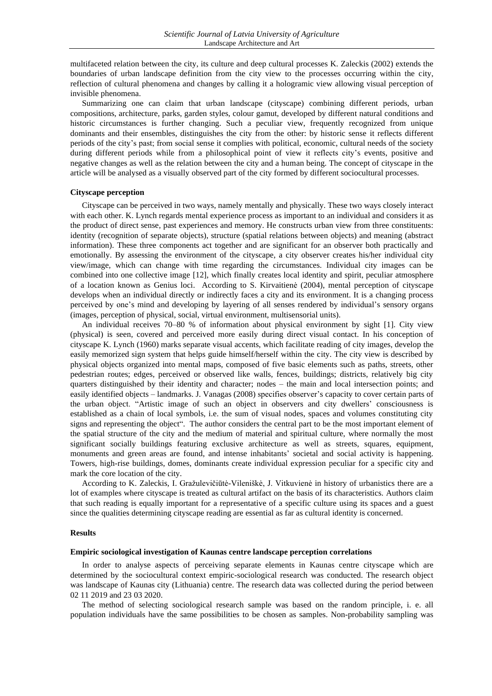multifaceted relation between the city, its culture and deep cultural processes K. Zaleckis (2002) extends the boundaries of urban landscape definition from the city view to the processes occurring within the city, reflection of cultural phenomena and changes by calling it a hologramic view allowing visual perception of invisible phenomena.

Summarizing one can claim that urban landscape (cityscape) combining different periods, urban compositions, architecture, parks, garden styles, colour gamut, developed by different natural conditions and historic circumstances is further changing. Such a peculiar view, frequently recognized from unique dominants and their ensembles, distinguishes the city from the other: by historic sense it reflects different periods of the city's past; from social sense it complies with political, economic, cultural needs of the society during different periods while from a philosophical point of view it reflects city's events, positive and negative changes as well as the relation between the city and a human being. The concept of cityscape in the article will be analysed as a visually observed part of the city formed by different sociocultural processes.

### **Cityscape perception**

Cityscape can be perceived in two ways, namely mentally and physically. These two ways closely interact with each other. K. Lynch regards mental experience process as important to an individual and considers it as the product of direct sense, past experiences and memory. He constructs urban view from three constituents: identity (recognition of separate objects), structure (spatial relations between objects) and meaning (abstract information). These three components act together and are significant for an observer both practically and emotionally. By assessing the environment of the cityscape, a city observer creates his/her individual city view/image, which can change with time regarding the circumstances. Individual city images can be combined into one collective image [12], which finally creates local identity and spirit, peculiar atmosphere of a location known as Genius loci. According to S. Kirvaitienė (2004), mental perception of cityscape develops when an individual directly or indirectly faces a city and its environment. It is a changing process perceived by one's mind and developing by layering of all senses rendered by individual's sensory organs (images, perception of physical, social, virtual environment, multisensorial units).

An individual receives 70–80 % of information about physical environment by sight [1]. City view (physical) is seen, covered and perceived more easily during direct visual contact. In his conception of cityscape K. Lynch (1960) marks separate visual accents, which facilitate reading of city images, develop the easily memorized sign system that helps guide himself/herself within the city. The city view is described by physical objects organized into mental maps, composed of five basic elements such as paths, streets, other pedestrian routes; edges, perceived or observed like walls, fences, buildings; districts, relatively big city quarters distinguished by their identity and character; nodes – the main and local intersection points; and easily identified objects – landmarks. J. Vanagas (2008) specifies observer's capacity to cover certain parts of the urban object. "Artistic image of such an object in observers and city dwellers' consciousness is established as a chain of local symbols, i.e. the sum of visual nodes, spaces and volumes constituting city signs and representing the object". The author considers the central part to be the most important element of the spatial structure of the city and the medium of material and spiritual culture, where normally the most significant socially buildings featuring exclusive architecture as well as streets, squares, equipment, monuments and green areas are found, and intense inhabitants' societal and social activity is happening. Towers, high-rise buildings, domes, dominants create individual expression peculiar for a specific city and mark the core location of the city.

According to K. Zaleckis, I. Gražulevičiūtė-Vileniškė, J. Vitkuvienė in history of urbanistics there are a lot of examples where cityscape is treated as cultural artifact on the basis of its characteristics. Authors claim that such reading is equally important for a representative of a specific culture using its spaces and a guest since the qualities determining cityscape reading are essential as far as cultural identity is concerned.

#### **Results**

#### **Empiric sociological investigation of Kaunas centre landscape perception correlations**

In order to analyse aspects of perceiving separate elements in Kaunas centre cityscape which are determined by the sociocultural context empiric-sociological research was conducted. The research object was landscape of Kaunas city (Lithuania) centre. The research data was collected during the period between 02 11 2019 and 23 03 2020.

The method of selecting sociological research sample was based on the random principle, i. e. all population individuals have the same possibilities to be chosen as samples. Non-probability sampling was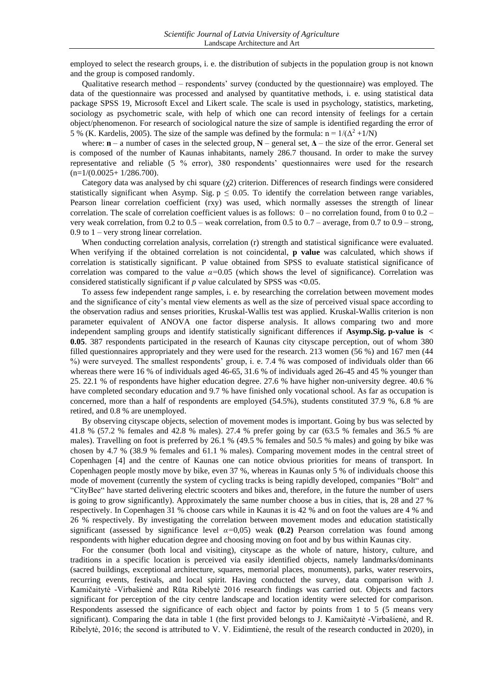employed to select the research groups, i. e. the distribution of subjects in the population group is not known and the group is composed randomly.

Qualitative research method – respondents' survey (conducted by the questionnaire) was employed. The data of the questionnaire was processed and analysed by quantitative methods, i. e. using statistical data package SPSS 19, Microsoft Excel and Likert scale. The scale is used in psychology, statistics, marketing, sociology as psychometric scale, with help of which one can record intensity of feelings for a certain object/phenomenon. For research of sociological nature the size of sample is identified regarding the error of 5 % (K. Kardelis, 2005). The size of the sample was defined by the formula:  $n = 1/(\Delta^2 + 1/N)$ 

where:  $\mathbf{n}$  – a number of cases in the selected group,  $\mathbf{N}$  – general set,  $\Delta$  – the size of the error. General set is composed of the number of Kaunas inhabitants, namely 286.7 thousand. In order to make the survey representative and reliable (5 % error), 380 respondents' questionnaires were used for the research  $(n=1/(0.0025+1/286.700)).$ 

Category data was analysed by chi square  $(\gamma 2)$  criterion. Differences of research findings were considered statistically significant when Asymp. Sig.  $p \le 0.05$ . To identify the correlation between range variables, Pearson linear correlation coefficient (rxy) was used, which normally assesses the strength of linear correlation. The scale of correlation coefficient values is as follows:  $0 - no$  correlation found, from 0 to 0.2 – very weak correlation, from 0.2 to 0.5 – weak correlation, from 0.5 to 0.7 – average, from 0.7 to 0.9 – strong,  $0.9$  to  $1$  – very strong linear correlation.

When conducting correlation analysis, correlation (r) strength and statistical significance were evaluated. When verifying if the obtained correlation is not coincidental, **p value** was calculated, which shows if correlation is statistically significant. P value obtained from SPSS to evaluate statistical significance of correlation was compared to the value *α=*0.05 (which shows the level of significance). Correlation was considered statistically significant if *p* value calculated by SPSS was **<**0.05.

To assess few independent range samples, i. e. by researching the correlation between movement modes and the significance of city's mental view elements as well as the size of perceived visual space according to the observation radius and senses priorities, Kruskal-Wallis test was applied. Kruskal-Wallis criterion is non parameter equivalent of ANOVA one factor disperse analysis. It allows comparing two and more independent sampling groups and identify statistically significant differences if **Asymp.Sig. p-value is < 0.05**. 387 respondents participated in the research of Kaunas city cityscape perception, out of whom 380 filled questionnaires appropriately and they were used for the research. 213 women (56 %) and 167 men (44 %) were surveyed. The smallest respondents' group, i. e. 7.4 % was composed of individuals older than 66 whereas there were 16 % of individuals aged 46-65, 31.6 % of individuals aged 26-45 and 45 % younger than 25. 22.1 % of respondents have higher education degree. 27.6 % have higher non-university degree. 40.6 % have completed secondary education and 9.7 % have finished only vocational school. As far as occupation is concerned, more than a half of respondents are employed (54.5%), students constituted 37.9 %, 6.8 % are retired, and 0.8 % are unemployed.

By observing cityscape objects, selection of movement modes is important. Going by bus was selected by 41.8 % (57.2 % females and 42.8 % males). 27.4 % prefer going by car (63.5 % females and 36.5 % are males). Travelling on foot is preferred by 26.1 % (49.5 % females and 50.5 % males) and going by bike was chosen by 4.7 % (38.9 % females and 61.1 % males). Comparing movement modes in the central street of Copenhagen [4] and the centre of Kaunas one can notice obvious priorities for means of transport. In Copenhagen people mostly move by bike, even 37 %, whereas in Kaunas only 5 % of individuals choose this mode of movement (currently the system of cycling tracks is being rapidly developed, companies "Bolt" and "CityBee" have started delivering electric scooters and bikes and, therefore, in the future the number of users is going to grow significantly). Approximately the same number choose a bus in cities, that is, 28 and 27 % respectively. In Copenhagen 31 % choose cars while in Kaunas it is 42 % and on foot the values are 4 % and 26 % respectively. By investigating the correlation between movement modes and education statistically significant (assessed by significance level *α=*0,05) weak **(0.2)** Pearson correlation was found among respondents with higher education degree and choosing moving on foot and by bus within Kaunas city.

For the consumer (both local and visiting), cityscape as the whole of nature, history, culture, and traditions in a specific location is perceived via easily identified objects, namely landmarks/dominants (sacred buildings, exceptional architecture, squares, memorial places, monuments), parks, water reservoirs, recurring events, festivals, and local spirit. Having conducted the survey, data comparison with J. Kamičaitytė -Virbašienė and Rūta Ribelytė 2016 research findings was carried out. Objects and factors significant for perception of the city centre landscape and location identity were selected for comparison. Respondents assessed the significance of each object and factor by points from 1 to 5 (5 means very significant). Comparing the data in table 1 (the first provided belongs to J. Kamičaitytė -Virbašienė, and R. Ribelytė, 2016; the second is attributed to V. V. Eidimtienė, the result of the research conducted in 2020), in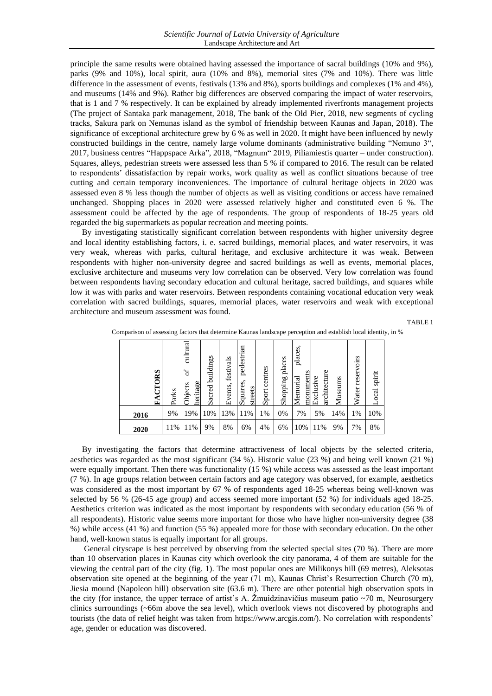principle the same results were obtained having assessed the importance of sacral buildings (10% and 9%), parks (9% and 10%), local spirit, aura (10% and 8%), memorial sites (7% and 10%). There was little difference in the assessment of events, festivals (13% and 8%), sports buildings and complexes (1% and 4%), and museums (14% and 9%). Rather big differences are observed comparing the impact of water reservoirs, that is 1 and 7 % respectively. It can be explained by already implemented riverfronts management projects (The project of Santaka park management, 2018, The bank of the Old Pier, 2018, new segments of cycling tracks, Sakura park on Nemunas island as the symbol of friendship between Kaunas and Japan, 2018). The significance of exceptional architecture grew by 6 % as well in 2020. It might have been influenced by newly constructed buildings in the centre, namely large volume dominants (administrative building "Nemuno 3", 2017, business centres "Happspace Arka", 2018, "Magnum" 2019, Piliamiestis quarter – under construction). Squares, alleys, pedestrian streets were assessed less than 5 % if compared to 2016. The result can be related to respondents' dissatisfaction by repair works, work quality as well as conflict situations because of tree cutting and certain temporary inconveniences. The importance of cultural heritage objects in 2020 was assessed even 8 % less though the number of objects as well as visiting conditions or access have remained unchanged. Shopping places in 2020 were assessed relatively higher and constituted even 6 %. The assessment could be affected by the age of respondents. The group of respondents of 18-25 years old regarded the big supermarkets as popular recreation and meeting points.

By investigating statistically significant correlation between respondents with higher university degree and local identity establishing factors, i. e. sacred buildings, memorial places, and water reservoirs, it was very weak, whereas with parks, cultural heritage, and exclusive architecture it was weak. Between respondents with higher non-university degree and sacred buildings as well as events, memorial places, exclusive architecture and museums very low correlation can be observed. Very low correlation was found between respondents having secondary education and cultural heritage, sacred buildings, and squares while low it was with parks and water reservoirs. Between respondents containing vocational education very weak correlation with sacred buildings, squares, memorial places, water reservoirs and weak with exceptional architecture and museum assessment was found.

TABLE 1

| <b>CRS</b><br>$\mathbf{F} \mathbf{A}$ | Parks | cultural<br>$\sigma$<br>heritage<br>Objects | buildings<br>Sacred | festivals<br>Events, | an<br>pedestria<br>Squares,<br>streets | centres<br>Sport | places<br>Shopping | places.<br>monuments<br>Memorial | architecture<br>Exclusive | Museums | reservoirs<br>Water | spirit<br>ocal |
|---------------------------------------|-------|---------------------------------------------|---------------------|----------------------|----------------------------------------|------------------|--------------------|----------------------------------|---------------------------|---------|---------------------|----------------|
| 2016                                  | 9%    | 19%                                         | 10%                 | 13%                  | 11%                                    | 1%               | 0%                 | 7%                               | 5%                        | 14%     | 1%                  | 10%            |
| 2020                                  | 11%   | 11%                                         | 9%                  | 8%                   | 6%                                     | 4%               | 6%                 | 10%                              | 11%                       | 9%      | 7%                  | 8%             |

Comparison of assessing factors that determine Kaunas landscape perception and establish local identity, in %

By investigating the factors that determine attractiveness of local objects by the selected criteria, aesthetics was regarded as the most significant (34 %). Historic value (23 %) and being well known (21 %) were equally important. Then there was functionality (15 %) while access was assessed as the least important (7 %). In age groups relation between certain factors and age category was observed, for example, aesthetics was considered as the most important by 67 % of respondents aged 18-25 whereas being well-known was selected by 56 % (26-45 age group) and access seemed more important (52 %) for individuals aged 18-25. Aesthetics criterion was indicated as the most important by respondents with secondary education (56 % of all respondents). Historic value seems more important for those who have higher non-university degree (38 %) while access (41 %) and function (55 %) appealed more for those with secondary education. On the other hand, well-known status is equally important for all groups.

General cityscape is best perceived by observing from the selected special sites (70 %). There are more than 10 observation places in Kaunas city which overlook the city panorama, 4 of them are suitable for the viewing the central part of the city (fig. 1). The most popular ones are Milikonys hill (69 metres), Aleksotas observation site opened at the beginning of the year (71 m), Kaunas Christ's Resurrection Church (70 m), Jiesia mound (Napoleon hill) observation site (63.6 m). There are other potential high observation spots in the city (for instance, the upper terrace of artist's A. Žmuidzinavičius museum patio  $\sim$ 70 m, Neurosurgery clinics surroundings (~66m above the sea level), which overlook views not discovered by photographs and tourists (the data of relief height was taken from https://www.arcgis.com/). No correlation with respondents' age, gender or education was discovered.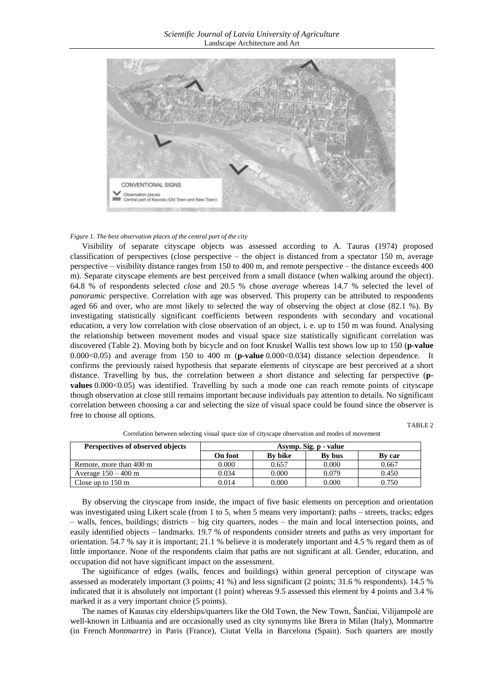

#### *Figure 1. The best observation places of the central part of the city*

Visibility of separate cityscape objects was assessed according to A. Tauras (1974) proposed classification of perspectives (close perspective – the object is distanced from a spectator 150 m, average perspective – visibility distance ranges from 150 to 400 m, and remote perspective – the distance exceeds 400 m). Separate cityscape elements are best perceived from a small distance (when walking around the object). 64.8 % of respondents selected *close* and 20.5 % chose *average* whereas 14.7 % selected the level of *panoramic* perspective. Correlation with age was observed. This property can be attributed to respondents aged 66 and over, who are most likely to selected the way of observing the object at close (82.1 %). By investigating statistically significant coefficients between respondents with secondary and vocational education, a very low correlation with close observation of an object, i. e. up to 150 m was found. Analysing the relationship between movement modes and visual space size statistically significant correlation was discovered (Table 2). Moving both by bicycle and on foot Kruskel Wallis test shows low up to 150 (**p-value** 0.000<0.05) and average from 150 to 400 m (**p-value** 0.000<0.034) distance selection dependence. It confirms the previously raised hypothesis that separate elements of cityscape are best perceived at a short distance. Travelling by bus, the correlation between a short distance and selecting far perspective (**pvalues** 0.000<0.05) was identified. Travelling by such a mode one can reach remote points of cityscape though observation at close still remains important because individuals pay attention to details. No significant correlation between choosing a car and selecting the size of visual space could be found since the observer is free to choose all options.

TABLE 2

| Perspectives of observed objects | Asymp. Sig. p - value |                |        |               |  |  |  |
|----------------------------------|-----------------------|----------------|--------|---------------|--|--|--|
|                                  | <b>On foot</b>        | <b>By bike</b> | By bus | <b>By car</b> |  |  |  |
| Remote, more than 400 m          | 0.000                 | 0.657          | 0.000  | 0.667         |  |  |  |
| Average $150 - 400$ m            | 0.034                 | 0.000          | 0.079  | 0.450         |  |  |  |
| Close up to $150 \text{ m}$      | 0.014                 | 0.000          | 0.000  | 0.750         |  |  |  |

Correlation between selecting visual space size of cityscape observation and modes of movement

By observing the cityscape from inside, the impact of five basic elements on perception and orientation was investigated using Likert scale (from 1 to 5, when 5 means very important): paths – streets, tracks; edges – walls, fences, buildings; districts – big city quarters, nodes – the main and local intersection points, and easily identified objects – landmarks. 19.7 % of respondents consider streets and paths as very important for orientation. 54.7 % say it is important; 21.1 % believe it is moderately important and 4.5 % regard them as of little importance. None of the respondents claim that paths are not significant at all. Gender, education, and occupation did not have significant impact on the assessment.

The significance of edges (walls, fences and buildings) within general perception of cityscape was assessed as moderately important (3 points; 41 %) and less significant (2 points; 31.6 % respondents). 14.5 % indicated that it is absolutely not important (1 point) whereas 9.5 assessed this element by 4 points and 3.4 % marked it as a very important choice (5 points).

The names of Kaunas city elderships/quarters like the Old Town, the New Town, Šančiai, Vilijampolė are well-known in Lithuania and are occasionally used as city synonyms like Brera in Milan (Italy), Monmartre (in French *Montmartre*) in Paris (France), Ciutat Vella in Barcelona (Spain). Such quarters are mostly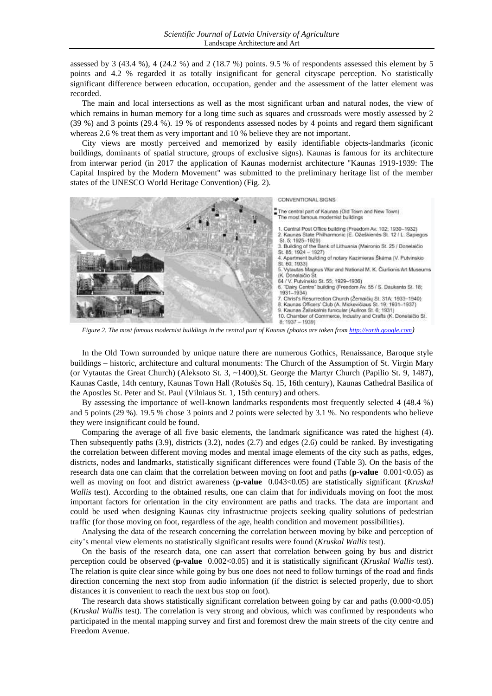assessed by 3 (43.4 %), 4 (24.2 %) and 2 (18.7 %) points. 9.5 % of respondents assessed this element by 5 points and 4.2 % regarded it as totally insignificant for general cityscape perception. No statistically significant difference between education, occupation, gender and the assessment of the latter element was recorded.

The main and local intersections as well as the most significant urban and natural nodes, the view of which remains in human memory for a long time such as squares and crossroads were mostly assessed by 2 (39 %) and 3 points (29.4 %). 19 % of respondents assessed nodes by 4 points and regard them significant whereas 2.6 % treat them as very important and 10 % believe they are not important.

City views are mostly perceived and memorized by easily identifiable objects-landmarks (iconic buildings, dominants of spatial structure, groups of exclusive signs). Kaunas is famous for its architecture from interwar period (in 2017 the application of Kaunas modernist architecture "Kaunas 1919-1939: The Capital Inspired by the Modern Movement" was submitted to the preliminary heritage list of the member states of the UNESCO World Heritage Convention) (Fig. 2).



*Figure 2. The most famous modernist buildings in the central part of Kaunas (photos are taken from [http://earth.google.com](http://earth.google.com/))*

In the Old Town surrounded by unique nature there are numerous Gothics, Renaissance, Baroque style buildings – historic, architecture and cultural monuments: The Church of the Assumption of St. Virgin Mary (or Vytautas the Great Church) (Aleksoto St. 3, ~1400),St. George the Martyr Church (Papilio St. 9, 1487), Kaunas Castle, 14th century, Kaunas Town Hall (Rotušės Sq. 15, 16th century), Kaunas Cathedral Basilica of the Apostles St. Peter and St. Paul (Vilniaus St. 1, 15th century) and others.

By assessing the importance of well-known landmarks respondents most frequently selected 4 (48.4 %) and 5 points (29 %). 19.5 % chose 3 points and 2 points were selected by 3.1 %. No respondents who believe they were insignificant could be found.

Comparing the average of all five basic elements, the landmark significance was rated the highest (4). Then subsequently paths (3.9), districts (3.2), nodes (2.7) and edges (2.6) could be ranked. By investigating the correlation between different moving modes and mental image elements of the city such as paths, edges, districts, nodes and landmarks, statistically significant differences were found (Table 3). On the basis of the research data one can claim that the correlation between moving on foot and paths (**p-value** 0.001<0.05) as well as moving on foot and district awareness (**p-value** 0.043<0.05) are statistically significant (*Kruskal Wallis* test). According to the obtained results, one can claim that for individuals moving on foot the most important factors for orientation in the city environment are paths and tracks. The data are important and could be used when designing Kaunas city infrastructrue projects seeking quality solutions of pedestrian traffic (for those moving on foot, regardless of the age, health condition and movement possibilities).

Analysing the data of the research concerning the correlation between moving by bike and perception of city's mental view elements no statistically significant results were found (*Kruskal Wallis* test).

On the basis of the research data, one can assert that correlation between going by bus and district perception could be observed (**p-value** 0.002<0.05) and it is statistically significant (*Kruskal Wallis* test). The relation is quite clear since while going by bus one does not need to follow turnings of the road and finds direction concerning the next stop from audio information (if the district is selected properly, due to short distances it is convenient to reach the next bus stop on foot).

The research data shows statistically significant correlation between going by car and paths (0.000<0.05) (*Kruskal Wallis* test). The correlation is very strong and obvious, which was confirmed by respondents who participated in the mental mapping survey and first and foremost drew the main streets of the city centre and Freedom Avenue.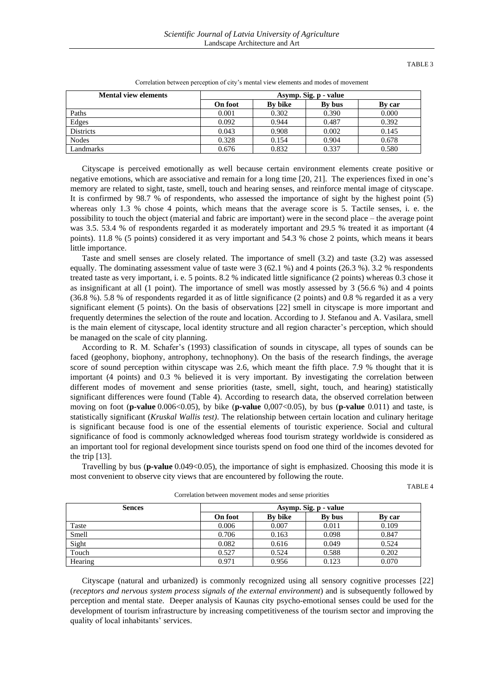TABLE 3

| <b>Mental view elements</b> | Asymp. Sig. p - value |         |        |        |  |  |  |
|-----------------------------|-----------------------|---------|--------|--------|--|--|--|
|                             | <b>On foot</b>        | By bike | By bus | By car |  |  |  |
| Paths                       | 0.001                 | 0.302   | 0.390  | 0.000  |  |  |  |
| Edges                       | 0.092                 | 0.944   | 0.487  | 0.392  |  |  |  |
| <b>Districts</b>            | 0.043                 | 0.908   | 0.002  | 0.145  |  |  |  |
| <b>Nodes</b>                | 0.328                 | 0.154   | 0.904  | 0.678  |  |  |  |
| Landmarks                   | 0.676                 | 0.832   | 0.337  | 0.580  |  |  |  |

Correlation between perception of city's mental view elements and modes of movement

Cityscape is perceived emotionally as well because certain environment elements create positive or negative emotions, which are associative and remain for a long time [20, 21]. The experiences fixed in one's memory are related to sight, taste, smell, touch and hearing senses, and reinforce mental image of cityscape. It is confirmed by 98.7 % of respondents, who assessed the importance of sight by the highest point (5) whereas only 1.3 % chose 4 points, which means that the average score is 5. Tactile senses, i. e. the possibility to touch the object (material and fabric are important) were in the second place – the average point was 3.5. 53.4 % of respondents regarded it as moderately important and 29.5 % treated it as important (4 points). 11.8 % (5 points) considered it as very important and 54.3 % chose 2 points, which means it bears little importance.

Taste and smell senses are closely related. The importance of smell (3.2) and taste (3.2) was assessed equally. The dominating assessment value of taste were 3 (62.1 %) and 4 points (26.3 %). 3.2 % respondents treated taste as very important, i. e. 5 points. 8.2 % indicated little significance (2 points) whereas 0.3 chose it as insignificant at all (1 point). The importance of smell was mostly assessed by 3 (56.6 %) and 4 points (36.8 %). 5.8 % of respondents regarded it as of little significance (2 points) and 0.8 % regarded it as a very significant element (5 points). On the basis of observations [22] smell in cityscape is more important and frequently determines the selection of the route and location. According to J. Stefanou and A. Vasilara, smell is the main element of cityscape, local identity structure and all region character's perception, which should be managed on the scale of city planning.

According to R. M. Schafer's (1993) classification of sounds in cityscape, all types of sounds can be faced (geophony, biophony, antrophony, technophony). On the basis of the research findings, the average score of sound perception within cityscape was 2.6, which meant the fifth place. 7.9 % thought that it is important (4 points) and 0.3 % believed it is very important. By investigating the correlation between different modes of movement and sense priorities (taste, smell, sight, touch, and hearing) statistically significant differences were found (Table 4). According to research data, the observed correlation between moving on foot (**p-value** 0.006<0.05), by bike (**p-value** 0,007<0.05), by bus (**p-value** 0.011) and taste, is statistically significant (*Kruskal Wallis test)*. The relationship between certain location and culinary heritage is significant because food is one of the essential elements of touristic experience. Social and cultural significance of food is commonly acknowledged whereas food tourism strategy worldwide is considered as an important tool for regional development since tourists spend on food one third of the incomes devoted for the trip [13].

Travelling by bus (**p-value** 0.049<0.05), the importance of sight is emphasized. Choosing this mode it is most convenient to observe city views that are encountered by following the route.

TABLE 4

| <b>Sences</b> | Asymp. Sig. p - value |         |        |        |  |  |  |
|---------------|-----------------------|---------|--------|--------|--|--|--|
|               | On foot               | By bike | By bus | By car |  |  |  |
| Taste         | 0.006                 | 0.007   | 0.011  | 0.109  |  |  |  |
| Smell         | 0.706                 | 0.163   | 0.098  | 0.847  |  |  |  |
| Sight         | 0.082                 | 0.616   | 0.049  | 0.524  |  |  |  |
| Touch         | 0.527                 | 0.524   | 0.588  | 0.202  |  |  |  |
| Hearing       | 0.971                 | 0.956   | 0.123  | 0.070  |  |  |  |

Correlation between movement modes and sense priorities

Cityscape (natural and urbanized) is commonly recognized using all sensory cognitive processes [22] (*receptors and nervous system process signals of the external environment*) and is subsequently followed by perception and mental state. Deeper analysis of Kaunas city psycho-emotional senses could be used for the development of tourism infrastructure by increasing competitiveness of the tourism sector and improving the quality of local inhabitants' services.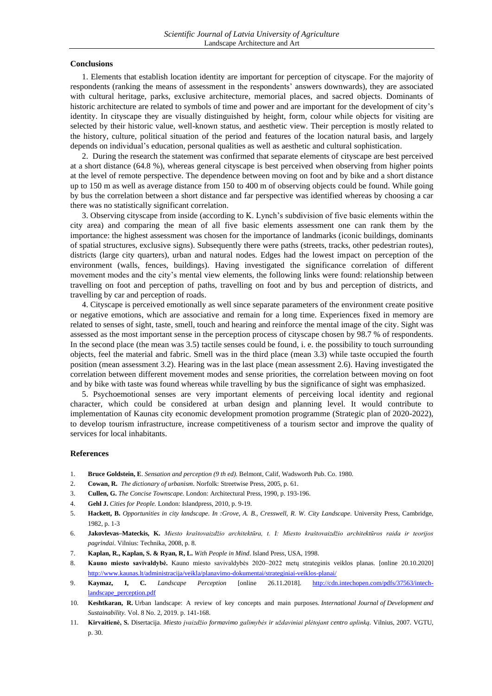## **Conclusions**

1. Elements that establish location identity are important for perception of cityscape. For the majority of respondents (ranking the means of assessment in the respondents' answers downwards), they are associated with cultural heritage, parks, exclusive architecture, memorial places, and sacred objects. Dominants of historic architecture are related to symbols of time and power and are important for the development of city's identity. In cityscape they are visually distinguished by height, form, colour while objects for visiting are selected by their historic value, well-known status, and aesthetic view. Their perception is mostly related to the history, culture, political situation of the period and features of the location natural basis, and largely depends on individual's education, personal qualities as well as aesthetic and cultural sophistication.

2. During the research the statement was confirmed that separate elements of cityscape are best perceived at a short distance (64.8 %), whereas general cityscape is best perceived when observing from higher points at the level of remote perspective. The dependence between moving on foot and by bike and a short distance up to 150 m as well as average distance from 150 to 400 m of observing objects could be found. While going by bus the correlation between a short distance and far perspective was identified whereas by choosing a car there was no statistically significant correlation.

3. Observing cityscape from inside (according to K. Lynch's subdivision of five basic elements within the city area) and comparing the mean of all five basic elements assessment one can rank them by the importance: the highest assessment was chosen for the importance of landmarks (iconic buildings, dominants of spatial structures, exclusive signs). Subsequently there were paths (streets, tracks, other pedestrian routes), districts (large city quarters), urban and natural nodes. Edges had the lowest impact on perception of the environment (walls, fences, buildings). Having investigated the significance correlation of different movement modes and the city's mental view elements, the following links were found: relationship between travelling on foot and perception of paths, travelling on foot and by bus and perception of districts, and travelling by car and perception of roads.

4. Cityscape is perceived emotionally as well since separate parameters of the environment create positive or negative emotions, which are associative and remain for a long time. Experiences fixed in memory are related to senses of sight, taste, smell, touch and hearing and reinforce the mental image of the city. Sight was assessed as the most important sense in the perception process of cityscape chosen by 98.7 % of respondents. In the second place (the mean was 3.5) tactile senses could be found, i. e. the possibility to touch surrounding objects, feel the material and fabric. Smell was in the third place (mean 3.3) while taste occupied the fourth position (mean assessment 3.2). Hearing was in the last place (mean assessment 2.6). Having investigated the correlation between different movement modes and sense priorities, the correlation between moving on foot and by bike with taste was found whereas while travelling by bus the significance of sight was emphasized.

5. Psychoemotional senses are very important elements of perceiving local identity and regional character, which could be considered at urban design and planning level. It would contribute to implementation of Kaunas city economic development promotion programme (Strategic plan of 2020-2022), to develop tourism infrastructure, increase competitiveness of a tourism sector and improve the quality of services for local inhabitants.

#### **References**

- 1. **Bruce Goldstein, E**. *Sensation and perception (9 th ed).* Belmont, Calif, Wadsworth Pub. Co. 1980.
- 2. **Cowan, R.** *The dictionary of urbanism*. Norfolk: Streetwise Press, 2005, p. 61.
- 3. **Cullen, G.** *The Concise Townscape.* London: Architectural Press, 1990, p. 193-196.
- 4. **Gehl J.** *Cities for People.* London: Islandpress, 2010, p. 9-19.
- 5. **Hackett, B.** *Opportunities in city landscape. In :Grove, A. B., Cresswell, R. W. City Landscape*. University Press, Cambridge, 1982, p. 1-3
- 6. **Jakovlevas–Mateckis, K.** *Miesto kraštovaizdžio architektūra, t. I: Miesto kraštovaizdžio architektūros raida ir teorijos pagrindai*. Vilnius: Technika, 2008, p. 8.
- 7. **Kaplan, R., Kaplan, S. & Ryan, R, L.** *With People in Mind*. Island Press, USA, 1998.
- 8. **Kauno miesto savivaldybė.** Kauno miesto savivaldybės 2020–2022 metų strateginis veiklos planas. [online 20.10.2020] <http://www.kaunas.lt/administracija/veikla/planavimo-dokumentai/strateginiai-veiklos-planai/>
- 9. **Kaymaz, I, C.** *Landscape Perception* [online 26.11.2018]. [http://cdn.intechopen.com/pdfs/37563/intech](http://cdn.intechopen.com/pdfs/37563/intech-landscape_perception.pdf)[landscape\\_perception.pdf](http://cdn.intechopen.com/pdfs/37563/intech-landscape_perception.pdf)
- 10. **Keshtkaran, R.** Urban landscape: A review of key concepts and main purposes. *International Journal of Development and Sustainability.* Vol. 8 No. 2, 2019. p. 141-168.
- 11. **Kirvaitienė, S.** Disertacija. *Miesto įvaizdžio formavimo galimybės ir uždaviniai plėtojant centro aplinką.* Vilnius, 2007. VGTU, p. 30.